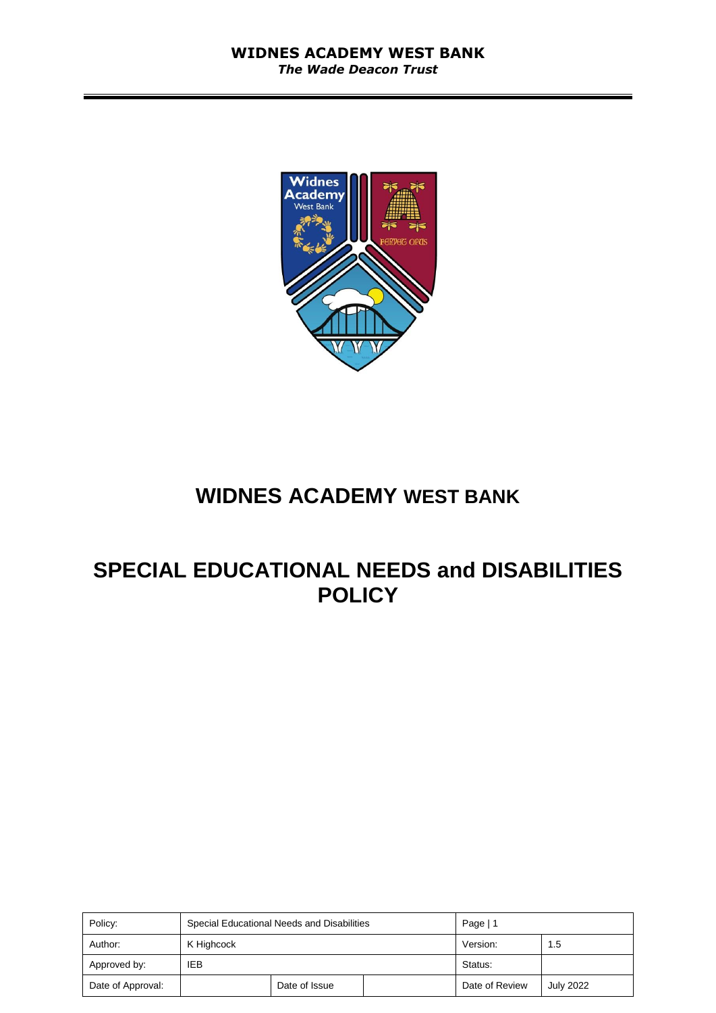

# **WIDNES ACADEMY WEST BANK**

# **SPECIAL EDUCATIONAL NEEDS and DISABILITIES POLICY**

| Policy:           | Special Educational Needs and Disabilities |  |  | Page   $1$     |                  |
|-------------------|--------------------------------------------|--|--|----------------|------------------|
| Author:           | K Highcock                                 |  |  | Version:       | 1.5              |
| Approved by:      | IEB                                        |  |  | Status:        |                  |
| Date of Approval: | Date of Issue                              |  |  | Date of Review | <b>July 2022</b> |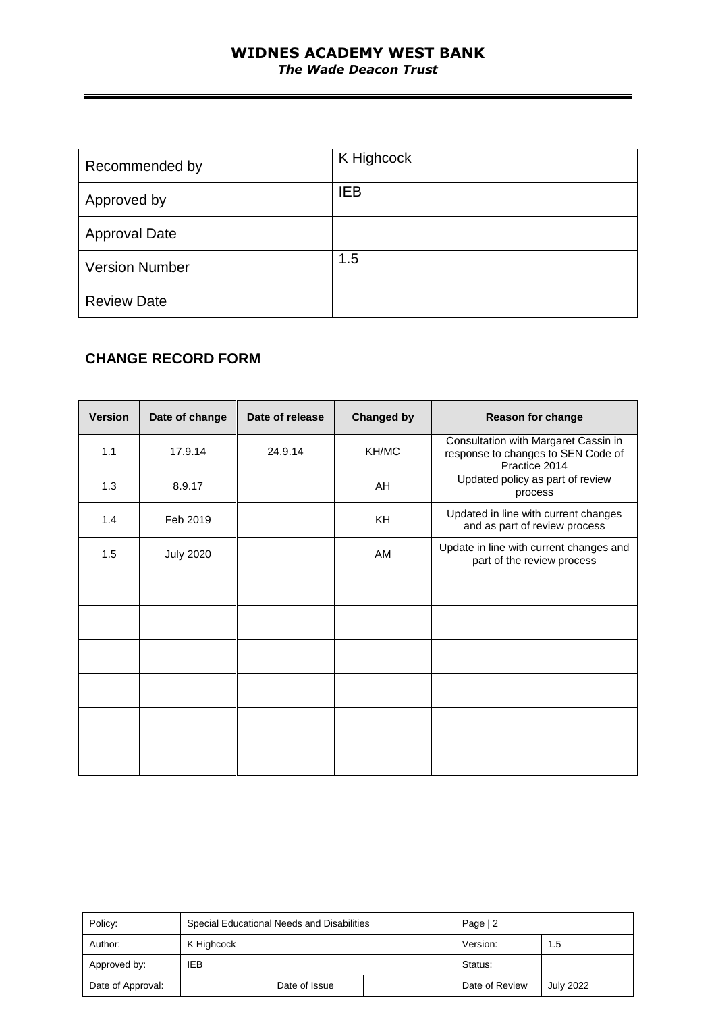#### **WIDNES ACADEMY WEST BANK** *The Wade Deacon Trust*

| Recommended by        | K Highcock |
|-----------------------|------------|
| Approved by           | <b>IEB</b> |
| <b>Approval Date</b>  |            |
| <b>Version Number</b> | 1.5        |
| <b>Review Date</b>    |            |

## **CHANGE RECORD FORM**

| <b>Version</b> | Date of change   | Date of release | <b>Changed by</b> | <b>Reason for change</b>                                                                    |
|----------------|------------------|-----------------|-------------------|---------------------------------------------------------------------------------------------|
| 1.1            | 17.9.14          | 24.9.14         | KH/MC             | Consultation with Margaret Cassin in<br>response to changes to SEN Code of<br>Practice 2014 |
| 1.3            | 8.9.17           |                 | AH                | Updated policy as part of review<br>process                                                 |
| 1.4            | Feb 2019         |                 | KH                | Updated in line with current changes<br>and as part of review process                       |
| 1.5            | <b>July 2020</b> |                 | AM                | Update in line with current changes and<br>part of the review process                       |
|                |                  |                 |                   |                                                                                             |
|                |                  |                 |                   |                                                                                             |
|                |                  |                 |                   |                                                                                             |
|                |                  |                 |                   |                                                                                             |
|                |                  |                 |                   |                                                                                             |
|                |                  |                 |                   |                                                                                             |

| Policy:           | Special Educational Needs and Disabilities |  |  | Page $ 2$      |                  |
|-------------------|--------------------------------------------|--|--|----------------|------------------|
| Author:           | K Highcock                                 |  |  | Version:       | 1.5              |
| Approved by:      | IEB                                        |  |  | Status:        |                  |
| Date of Approval: | Date of Issue                              |  |  | Date of Review | <b>July 2022</b> |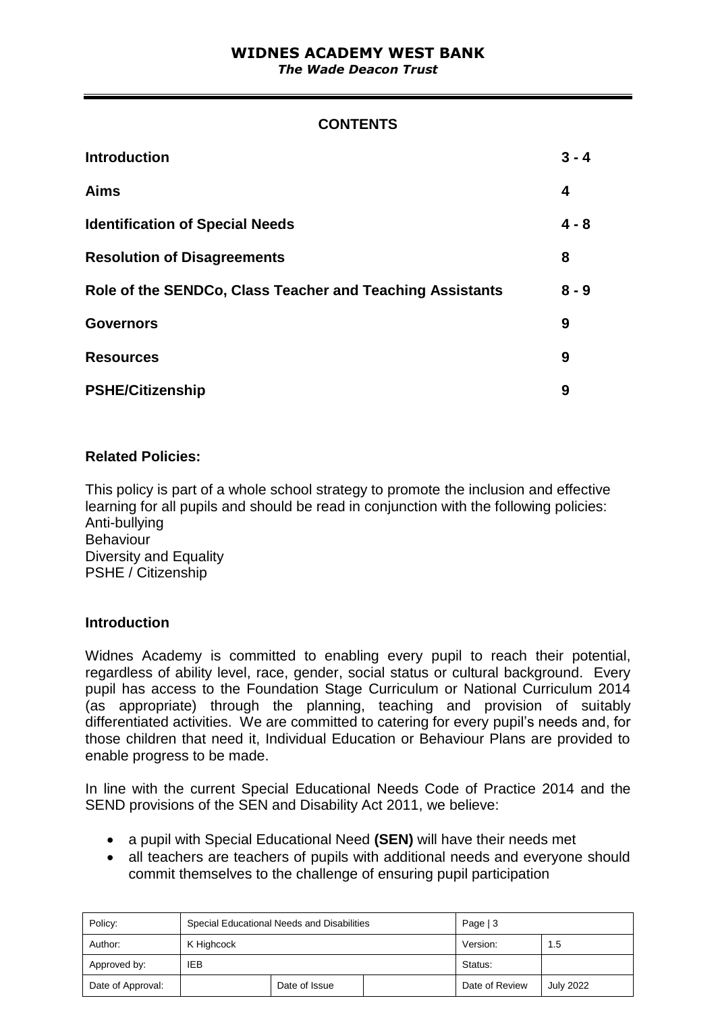#### **CONTENTS**

| <b>Introduction</b>                                       | $3 - 4$ |
|-----------------------------------------------------------|---------|
| <b>Aims</b>                                               | 4       |
| <b>Identification of Special Needs</b>                    | $4 - 8$ |
| <b>Resolution of Disagreements</b>                        | 8       |
| Role of the SENDCo, Class Teacher and Teaching Assistants | $8 - 9$ |
| <b>Governors</b>                                          | 9       |
| <b>Resources</b>                                          | 9       |
| <b>PSHE/Citizenship</b>                                   | 9       |

#### **Related Policies:**

This policy is part of a whole school strategy to promote the inclusion and effective learning for all pupils and should be read in conjunction with the following policies: Anti-bullying Behaviour Diversity and Equality PSHE / Citizenship

#### **Introduction**

Widnes Academy is committed to enabling every pupil to reach their potential, regardless of ability level, race, gender, social status or cultural background. Every pupil has access to the Foundation Stage Curriculum or National Curriculum 2014 (as appropriate) through the planning, teaching and provision of suitably differentiated activities. We are committed to catering for every pupil's needs and, for those children that need it, Individual Education or Behaviour Plans are provided to enable progress to be made.

In line with the current Special Educational Needs Code of Practice 2014 and the SEND provisions of the SEN and Disability Act 2011, we believe:

- a pupil with Special Educational Need **(SEN)** will have their needs met
- all teachers are teachers of pupils with additional needs and everyone should commit themselves to the challenge of ensuring pupil participation

| Policy:           | Special Educational Needs and Disabilities |  |  | Page $ 3$      |                  |
|-------------------|--------------------------------------------|--|--|----------------|------------------|
| Author:           | K Highcock                                 |  |  | Version:       | 1.5              |
| Approved by:      | IEB                                        |  |  | Status:        |                  |
| Date of Approval: | Date of Issue                              |  |  | Date of Review | <b>July 2022</b> |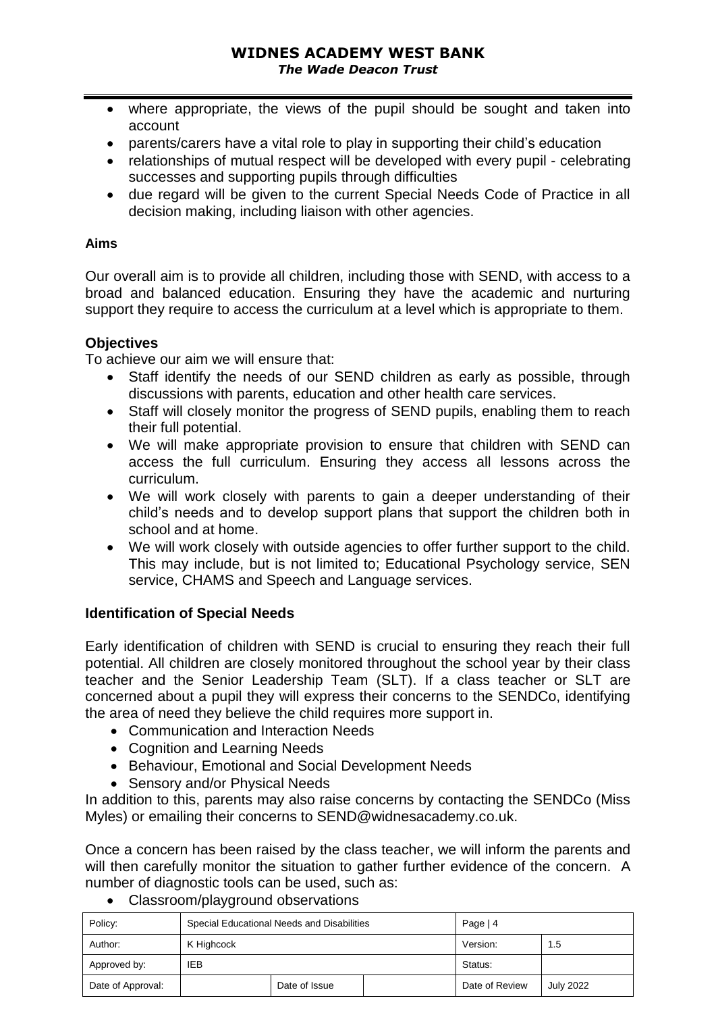- where appropriate, the views of the pupil should be sought and taken into account
- parents/carers have a vital role to play in supporting their child's education
- relationships of mutual respect will be developed with every pupil celebrating successes and supporting pupils through difficulties
- due regard will be given to the current Special Needs Code of Practice in all decision making, including liaison with other agencies.

#### **Aims**

Our overall aim is to provide all children, including those with SEND, with access to a broad and balanced education. Ensuring they have the academic and nurturing support they require to access the curriculum at a level which is appropriate to them.

#### **Objectives**

To achieve our aim we will ensure that:

- Staff identify the needs of our SEND children as early as possible, through discussions with parents, education and other health care services.
- Staff will closely monitor the progress of SEND pupils, enabling them to reach their full potential.
- We will make appropriate provision to ensure that children with SEND can access the full curriculum. Ensuring they access all lessons across the curriculum.
- We will work closely with parents to gain a deeper understanding of their child's needs and to develop support plans that support the children both in school and at home.
- We will work closely with outside agencies to offer further support to the child. This may include, but is not limited to; Educational Psychology service, SEN service, CHAMS and Speech and Language services.

#### **Identification of Special Needs**

Early identification of children with SEND is crucial to ensuring they reach their full potential. All children are closely monitored throughout the school year by their class teacher and the Senior Leadership Team (SLT). If a class teacher or SLT are concerned about a pupil they will express their concerns to the SENDCo, identifying the area of need they believe the child requires more support in.

- Communication and Interaction Needs
- Cognition and Learning Needs
- Behaviour, Emotional and Social Development Needs
- Sensory and/or Physical Needs

In addition to this, parents may also raise concerns by contacting the SENDCo (Miss Myles) or emailing their concerns to SEND@widnesacademy.co.uk.

Once a concern has been raised by the class teacher, we will inform the parents and will then carefully monitor the situation to gather further evidence of the concern. A number of diagnostic tools can be used, such as:

• Classroom/playground observations

| Policy:           |               | Special Educational Needs and Disabilities | Page $ 4$ |                |                  |
|-------------------|---------------|--------------------------------------------|-----------|----------------|------------------|
| Author:           | K Highcock    |                                            |           | Version:       | 1.5              |
| Approved by:      | IEB           |                                            |           | Status:        |                  |
| Date of Approval: | Date of Issue |                                            |           | Date of Review | <b>July 2022</b> |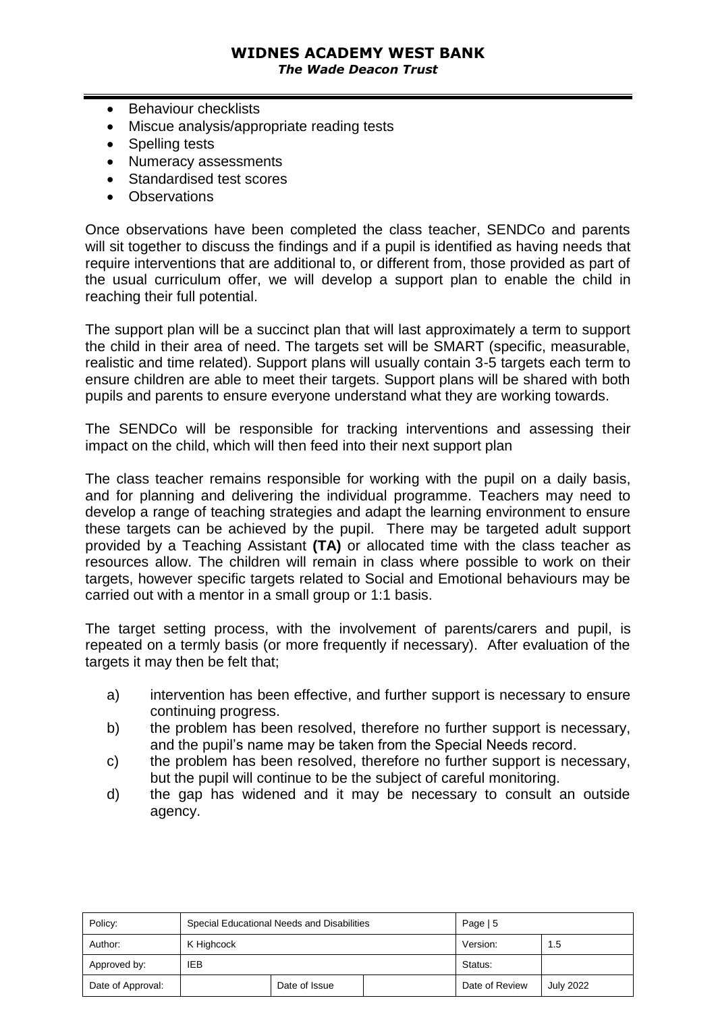## **WIDNES ACADEMY WEST BANK**

*The Wade Deacon Trust*

- Behaviour checklists
- Miscue analysis/appropriate reading tests
- Spelling tests
- Numeracy assessments
- Standardised test scores
- Observations

Once observations have been completed the class teacher, SENDCo and parents will sit together to discuss the findings and if a pupil is identified as having needs that require interventions that are additional to, or different from, those provided as part of the usual curriculum offer, we will develop a support plan to enable the child in reaching their full potential.

The support plan will be a succinct plan that will last approximately a term to support the child in their area of need. The targets set will be SMART (specific, measurable, realistic and time related). Support plans will usually contain 3-5 targets each term to ensure children are able to meet their targets. Support plans will be shared with both pupils and parents to ensure everyone understand what they are working towards.

The SENDCo will be responsible for tracking interventions and assessing their impact on the child, which will then feed into their next support plan

The class teacher remains responsible for working with the pupil on a daily basis, and for planning and delivering the individual programme. Teachers may need to develop a range of teaching strategies and adapt the learning environment to ensure these targets can be achieved by the pupil. There may be targeted adult support provided by a Teaching Assistant **(TA)** or allocated time with the class teacher as resources allow. The children will remain in class where possible to work on their targets, however specific targets related to Social and Emotional behaviours may be carried out with a mentor in a small group or 1:1 basis.

The target setting process, with the involvement of parents/carers and pupil, is repeated on a termly basis (or more frequently if necessary). After evaluation of the targets it may then be felt that;

- a) intervention has been effective, and further support is necessary to ensure continuing progress.
- b) the problem has been resolved, therefore no further support is necessary, and the pupil's name may be taken from the Special Needs record.
- c) the problem has been resolved, therefore no further support is necessary, but the pupil will continue to be the subject of careful monitoring.
- d) the gap has widened and it may be necessary to consult an outside agency.

| Policy:           |               | Special Educational Needs and Disabilities | Page $\vert 5$ |                  |               |
|-------------------|---------------|--------------------------------------------|----------------|------------------|---------------|
| Author:           | K Highcock    |                                            |                | Version:         | $1.5^{\circ}$ |
| Approved by:      | IEB           |                                            |                | Status:          |               |
| Date of Approval: | Date of Issue |                                            | Date of Review | <b>July 2022</b> |               |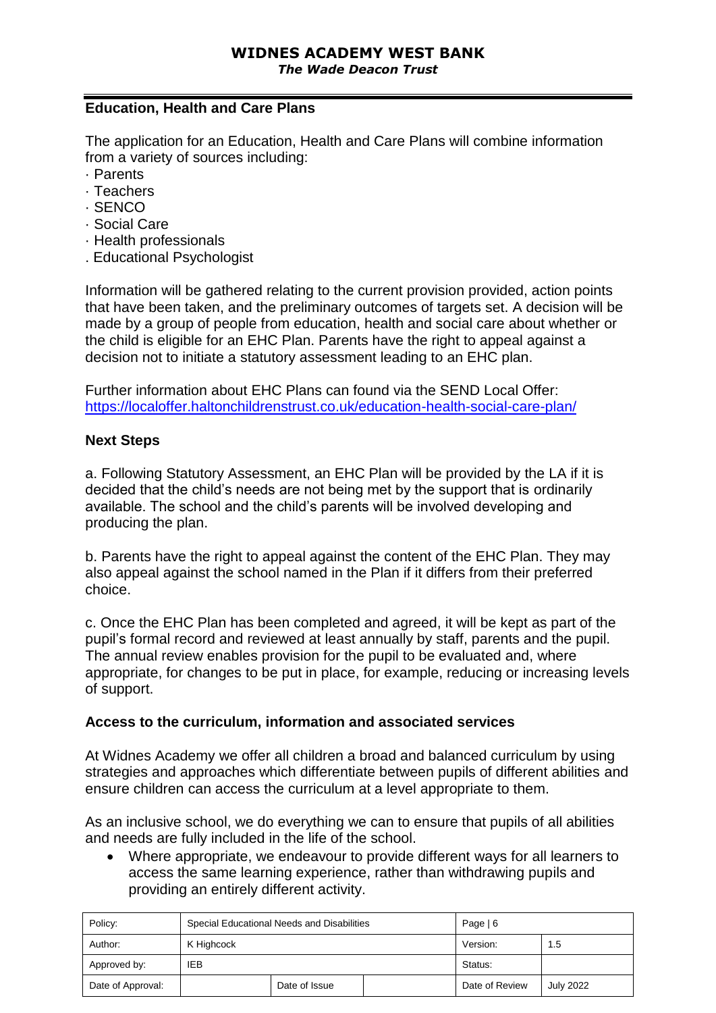#### **Education, Health and Care Plans**

The application for an Education, Health and Care Plans will combine information from a variety of sources including:

- · Parents
- · Teachers
- · SENCO
- · Social Care
- · Health professionals
- . Educational Psychologist

Information will be gathered relating to the current provision provided, action points that have been taken, and the preliminary outcomes of targets set. A decision will be made by a group of people from education, health and social care about whether or the child is eligible for an EHC Plan. Parents have the right to appeal against a decision not to initiate a statutory assessment leading to an EHC plan.

Further information about EHC Plans can found via the SEND Local Offer: <https://localoffer.haltonchildrenstrust.co.uk/education-health-social-care-plan/>

#### **Next Steps**

a. Following Statutory Assessment, an EHC Plan will be provided by the LA if it is decided that the child's needs are not being met by the support that is ordinarily available. The school and the child's parents will be involved developing and producing the plan.

b. Parents have the right to appeal against the content of the EHC Plan. They may also appeal against the school named in the Plan if it differs from their preferred choice.

c. Once the EHC Plan has been completed and agreed, it will be kept as part of the pupil's formal record and reviewed at least annually by staff, parents and the pupil. The annual review enables provision for the pupil to be evaluated and, where appropriate, for changes to be put in place, for example, reducing or increasing levels of support.

#### **Access to the curriculum, information and associated services**

At Widnes Academy we offer all children a broad and balanced curriculum by using strategies and approaches which differentiate between pupils of different abilities and ensure children can access the curriculum at a level appropriate to them.

As an inclusive school, we do everything we can to ensure that pupils of all abilities and needs are fully included in the life of the school.

• Where appropriate, we endeavour to provide different ways for all learners to access the same learning experience, rather than withdrawing pupils and providing an entirely different activity.

| Policy:           | Special Educational Needs and Disabilities |  |  | Page $ 6$      |                  |
|-------------------|--------------------------------------------|--|--|----------------|------------------|
| Author:           | K Highcock                                 |  |  | Version:       | 1.5              |
| Approved by:      | IEB                                        |  |  | Status:        |                  |
| Date of Approval: | Date of Issue                              |  |  | Date of Review | <b>July 2022</b> |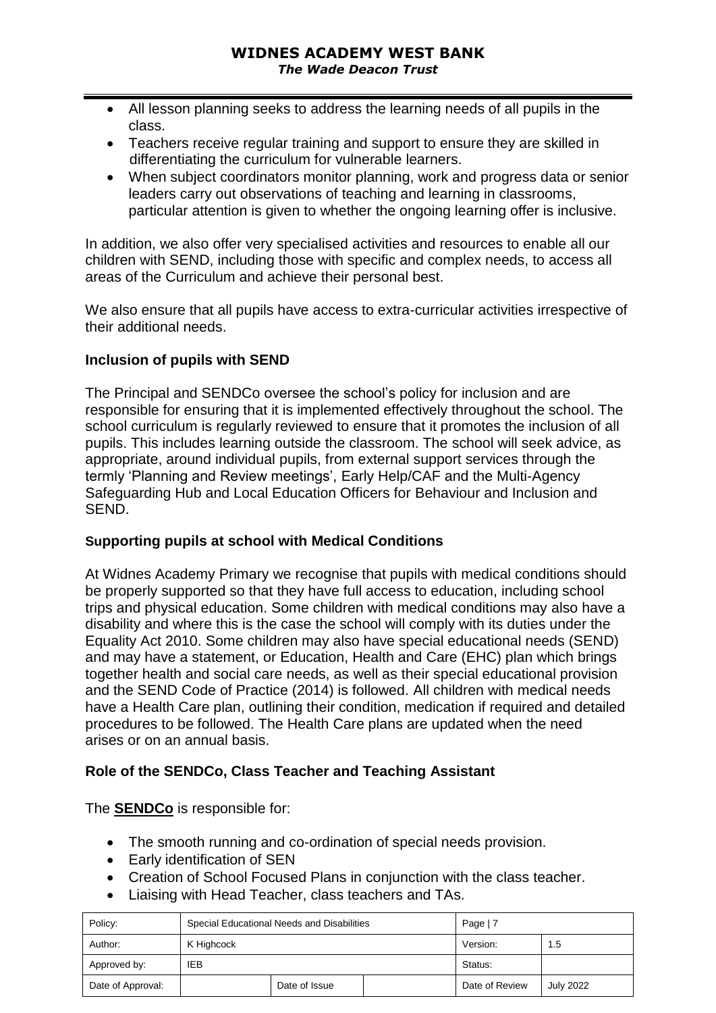- All lesson planning seeks to address the learning needs of all pupils in the class.
- Teachers receive regular training and support to ensure they are skilled in differentiating the curriculum for vulnerable learners.
- When subject coordinators monitor planning, work and progress data or senior leaders carry out observations of teaching and learning in classrooms, particular attention is given to whether the ongoing learning offer is inclusive.

In addition, we also offer very specialised activities and resources to enable all our children with SEND, including those with specific and complex needs, to access all areas of the Curriculum and achieve their personal best.

We also ensure that all pupils have access to extra-curricular activities irrespective of their additional needs.

#### **Inclusion of pupils with SEND**

The Principal and SENDCo oversee the school's policy for inclusion and are responsible for ensuring that it is implemented effectively throughout the school. The school curriculum is regularly reviewed to ensure that it promotes the inclusion of all pupils. This includes learning outside the classroom. The school will seek advice, as appropriate, around individual pupils, from external support services through the termly 'Planning and Review meetings', Early Help/CAF and the Multi-Agency Safeguarding Hub and Local Education Officers for Behaviour and Inclusion and SEND.

#### **Supporting pupils at school with Medical Conditions**

At Widnes Academy Primary we recognise that pupils with medical conditions should be properly supported so that they have full access to education, including school trips and physical education. Some children with medical conditions may also have a disability and where this is the case the school will comply with its duties under the Equality Act 2010. Some children may also have special educational needs (SEND) and may have a statement, or Education, Health and Care (EHC) plan which brings together health and social care needs, as well as their special educational provision and the SEND Code of Practice (2014) is followed. All children with medical needs have a Health Care plan, outlining their condition, medication if required and detailed procedures to be followed. The Health Care plans are updated when the need arises or on an annual basis.

### **Role of the SENDCo, Class Teacher and Teaching Assistant**

#### The **SENDCo** is responsible for:

- The smooth running and co-ordination of special needs provision.
- Early identification of SEN
- Creation of School Focused Plans in conjunction with the class teacher.
- Liaising with Head Teacher, class teachers and TAs.

| Policy:           |               | Special Educational Needs and Disabilities | Page |                |                  |
|-------------------|---------------|--------------------------------------------|------|----------------|------------------|
| Author:           | K Highcock    |                                            |      | Version:       | 1.5              |
| Approved by:      | IEB           |                                            |      | Status:        |                  |
| Date of Approval: | Date of Issue |                                            |      | Date of Review | <b>July 2022</b> |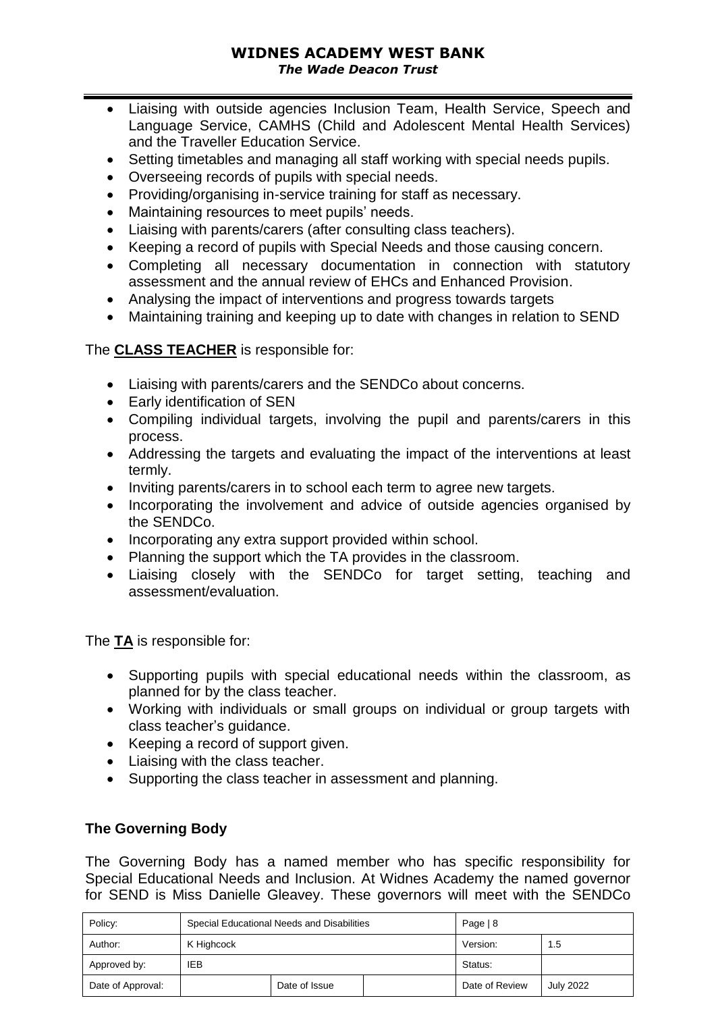#### **WIDNES ACADEMY WEST BANK** *The Wade Deacon Trust*

- Liaising with outside agencies Inclusion Team, Health Service, Speech and Language Service, CAMHS (Child and Adolescent Mental Health Services) and the Traveller Education Service.
- Setting timetables and managing all staff working with special needs pupils.
- Overseeing records of pupils with special needs.
- Providing/organising in-service training for staff as necessary.
- Maintaining resources to meet pupils' needs.
- Liaising with parents/carers (after consulting class teachers).
- Keeping a record of pupils with Special Needs and those causing concern.
- Completing all necessary documentation in connection with statutory assessment and the annual review of EHCs and Enhanced Provision.
- Analysing the impact of interventions and progress towards targets
- Maintaining training and keeping up to date with changes in relation to SEND

#### The **CLASS TEACHER** is responsible for:

- Liaising with parents/carers and the SENDCo about concerns.
- Early identification of SEN
- Compiling individual targets, involving the pupil and parents/carers in this process.
- Addressing the targets and evaluating the impact of the interventions at least termly.
- Inviting parents/carers in to school each term to agree new targets.
- Incorporating the involvement and advice of outside agencies organised by the SENDCo.
- Incorporating any extra support provided within school.
- Planning the support which the TA provides in the classroom.
- Liaising closely with the SENDCo for target setting, teaching and assessment/evaluation.

The **TA** is responsible for:

- Supporting pupils with special educational needs within the classroom, as planned for by the class teacher.
- Working with individuals or small groups on individual or group targets with class teacher's guidance.
- Keeping a record of support given.
- Liaising with the class teacher.
- Supporting the class teacher in assessment and planning.

### **The Governing Body**

The Governing Body has a named member who has specific responsibility for Special Educational Needs and Inclusion. At Widnes Academy the named governor for SEND is Miss Danielle Gleavey. These governors will meet with the SENDCo

| Policy:           | Special Educational Needs and Disabilities |               |  | Page $ 8$ |                  |
|-------------------|--------------------------------------------|---------------|--|-----------|------------------|
| Author:           | K Highcock                                 |               |  | Version:  | 1.5              |
| Approved by:      | IEB                                        |               |  | Status:   |                  |
| Date of Approval: |                                            | Date of Issue |  |           | <b>July 2022</b> |